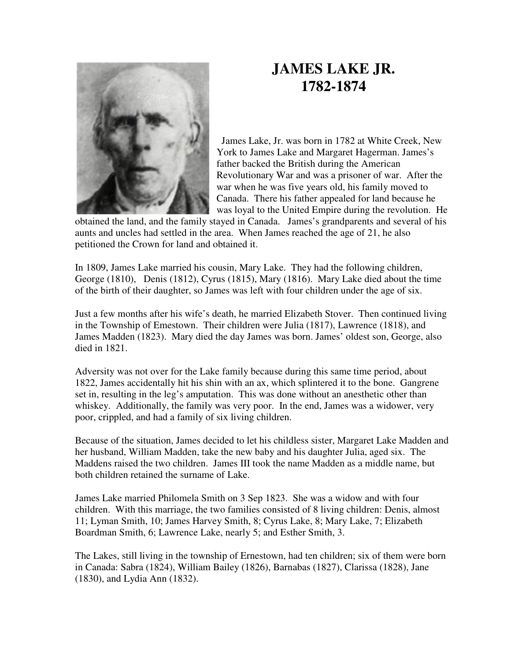

## **JAMES LAKE JR. 1782-1874**

 James Lake, Jr. was born in 1782 at White Creek, New York to James Lake and Margaret Hagerman. James's father backed the British during the American Revolutionary War and was a prisoner of war. After the war when he was five years old, his family moved to Canada. There his father appealed for land because he was loyal to the United Empire during the revolution. He

obtained the land, and the family stayed in Canada. James's grandparents and several of his aunts and uncles had settled in the area. When James reached the age of 21, he also petitioned the Crown for land and obtained it.

In 1809, James Lake married his cousin, Mary Lake. They had the following children, George (1810), Denis (1812), Cyrus (1815), Mary (1816). Mary Lake died about the time of the birth of their daughter, so James was left with four children under the age of six.

Just a few months after his wife's death, he married Elizabeth Stover. Then continued living in the Township of Emestown. Their children were Julia (1817), Lawrence (1818), and James Madden (1823). Mary died the day James was born. James' oldest son, George, also died in 1821.

Adversity was not over for the Lake family because during this same time period, about 1822, James accidentally hit his shin with an ax, which splintered it to the bone. Gangrene set in, resulting in the leg's amputation. This was done without an anesthetic other than whiskey. Additionally, the family was very poor. In the end, James was a widower, very poor, crippled, and had a family of six living children.

Because of the situation, James decided to let his childless sister, Margaret Lake Madden and her husband, William Madden, take the new baby and his daughter Julia, aged six. The Maddens raised the two children. James III took the name Madden as a middle name, but both children retained the surname of Lake.

James Lake married Philomela Smith on 3 Sep 1823. She was a widow and with four children. With this marriage, the two families consisted of 8 living children: Denis, almost 11; Lyman Smith, 10; James Harvey Smith, 8; Cyrus Lake, 8; Mary Lake, 7; Elizabeth Boardman Smith, 6; Lawrence Lake, nearly 5; and Esther Smith, 3.

The Lakes, still living in the township of Ernestown, had ten children; six of them were born in Canada: Sabra (1824), William Bailey (1826), Barnabas (1827), Clarissa (1828), Jane (1830), and Lydia Ann (1832).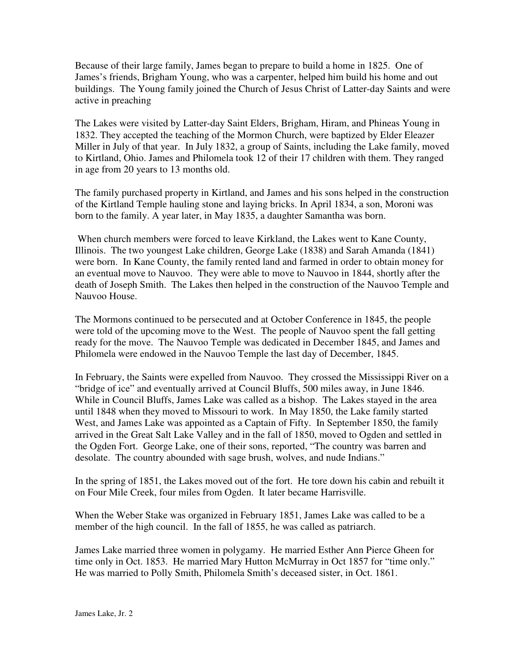Because of their large family, James began to prepare to build a home in 1825. One of James's friends, Brigham Young, who was a carpenter, helped him build his home and out buildings. The Young family joined the Church of Jesus Christ of Latter-day Saints and were active in preaching

The Lakes were visited by Latter-day Saint Elders, Brigham, Hiram, and Phineas Young in 1832. They accepted the teaching of the Mormon Church, were baptized by Elder Eleazer Miller in July of that year. In July 1832, a group of Saints, including the Lake family, moved to Kirtland, Ohio. James and Philomela took 12 of their 17 children with them. They ranged in age from 20 years to 13 months old.

The family purchased property in Kirtland, and James and his sons helped in the construction of the Kirtland Temple hauling stone and laying bricks. In April 1834, a son, Moroni was born to the family. A year later, in May 1835, a daughter Samantha was born.

 When church members were forced to leave Kirkland, the Lakes went to Kane County, Illinois. The two youngest Lake children, George Lake (1838) and Sarah Amanda (1841) were born. In Kane County, the family rented land and farmed in order to obtain money for an eventual move to Nauvoo. They were able to move to Nauvoo in 1844, shortly after the death of Joseph Smith. The Lakes then helped in the construction of the Nauvoo Temple and Nauvoo House.

The Mormons continued to be persecuted and at October Conference in 1845, the people were told of the upcoming move to the West. The people of Nauvoo spent the fall getting ready for the move. The Nauvoo Temple was dedicated in December 1845, and James and Philomela were endowed in the Nauvoo Temple the last day of December, 1845.

In February, the Saints were expelled from Nauvoo. They crossed the Mississippi River on a "bridge of ice" and eventually arrived at Council Bluffs, 500 miles away, in June 1846. While in Council Bluffs, James Lake was called as a bishop. The Lakes stayed in the area until 1848 when they moved to Missouri to work. In May 1850, the Lake family started West, and James Lake was appointed as a Captain of Fifty. In September 1850, the family arrived in the Great Salt Lake Valley and in the fall of 1850, moved to Ogden and settled in the Ogden Fort. George Lake, one of their sons, reported, "The country was barren and desolate. The country abounded with sage brush, wolves, and nude Indians."

In the spring of 1851, the Lakes moved out of the fort. He tore down his cabin and rebuilt it on Four Mile Creek, four miles from Ogden. It later became Harrisville.

When the Weber Stake was organized in February 1851, James Lake was called to be a member of the high council. In the fall of 1855, he was called as patriarch.

James Lake married three women in polygamy. He married Esther Ann Pierce Gheen for time only in Oct. 1853. He married Mary Hutton McMurray in Oct 1857 for "time only." He was married to Polly Smith, Philomela Smith's deceased sister, in Oct. 1861.